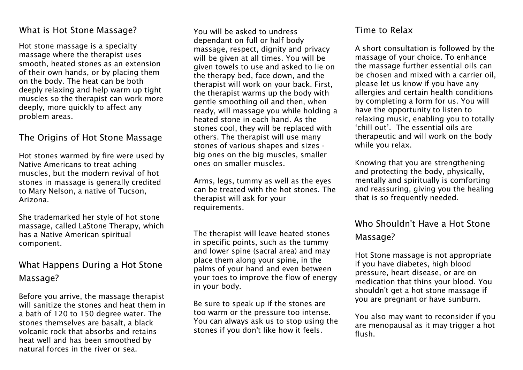#### What is Hot Stone Massage?

Hot stone massage is a specialty massage where the therapist uses smooth, heated stones as an extension of their own hands, or by placing them on the body. The heat can be both deeply relaxing and help warm up tight muscles so the therapist can work more deeply, more quickly to affect any problem areas.

### The Origins of Hot Stone Massage

Hot stones warmed by fire were used by Native Americans to treat aching muscles, but the modern revival of hot stones in massage is generally credited to Mary Nelson, a native of Tucson, Arizona.

She trademarked her style of hot stone massage, called LaStone Therapy, which has a Native American spiritual component.

# What Happens During a Hot Stone Massage?

Before you arrive, the massage therapist will sanitize the stones and heat them in a bath of 120 to 150 degree water. The stones themselves are basalt, a black volcanic rock that absorbs and retains heat well and has been smoothed by natural forces in the river or sea.

You will be asked to undress dependant on full or half body massage, respect, dignity and privacy will be given at all times. You will be given towels to use and asked to lie on the therapy bed, face down, and the therapist will work on your back. First, the therapist warms up the body with gentle smoothing oil and then, when ready, will massage you while holding a heated stone in each hand. As the stones cool, they will be replaced with others. The therapist will use many stones of various shapes and sizes big ones on the big muscles, smaller ones on smaller muscles.

Arms, legs, tummy as well as the eyes can be treated with the hot stones. The therapist will ask for your requirements.

The therapist will leave heated stones in specific points, such as the tummy and lower spine (sacral area) and may place them along your spine, in the palms of your hand and even between your toes to improve the flow of energy in your body.

Be sure to speak up if the stones are too warm or the pressure too intense. You can always ask us to stop using the stones if you don't like how it feels.

#### Time to Relax

A short consultation is followed by the massage of your choice. To enhance the massage further essential oils can be chosen and mixed with a carrier oil, please let us know if you have any allergies and certain health conditions by completing a form for us. You will have the opportunity to listen to relaxing music, enabling you to totally 'chill out'. The essential oils are therapeutic and will work on the body while you relax.

Knowing that you are strengthening and protecting the body, physically, mentally and spiritually is comforting and reassuring, giving you the healing that is so frequently needed.

# Who Shouldn't Have a Hot Stone Massage?

Hot Stone massage is not appropriate if you have diabetes, high blood pressure, heart disease, or are on medication that thins your blood. You shouldn't get a hot stone massage if you are pregnant or have sunburn.

You also may want to reconsider if you are menopausal as it may trigger a hot flush.